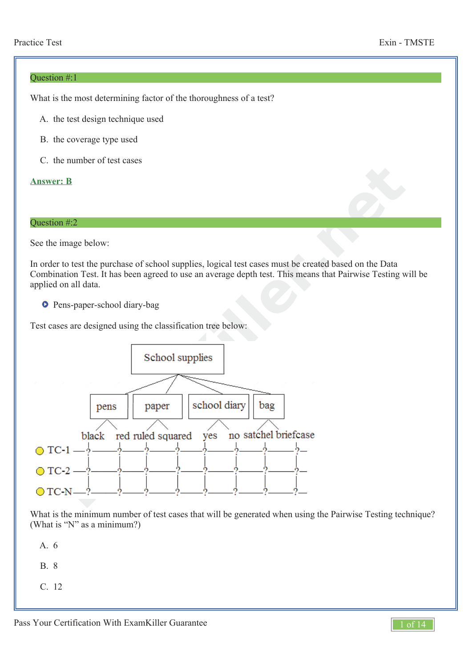#### Question #:1

What is the most determining factor of the thoroughness of a test?

- A. the test design technique used
- B. the coverage type used
- C. the number of test cases

## **Answer: B**

## Question #:2

See the image below:

In order to test the purchase of school supplies, logical test cases must be created based on the Data Combination Test. It has been agreed to use an average depth test. This means that Pairwise Testing will be applied on all data.

**O** Pens-paper-school diary-bag

Test cases are designed using the classification tree below:



What is the minimum number of test cases that will be generated when using the Pairwise Testing technique? (What is "N" as a minimum?)

A. 6

B. 8

C. 12

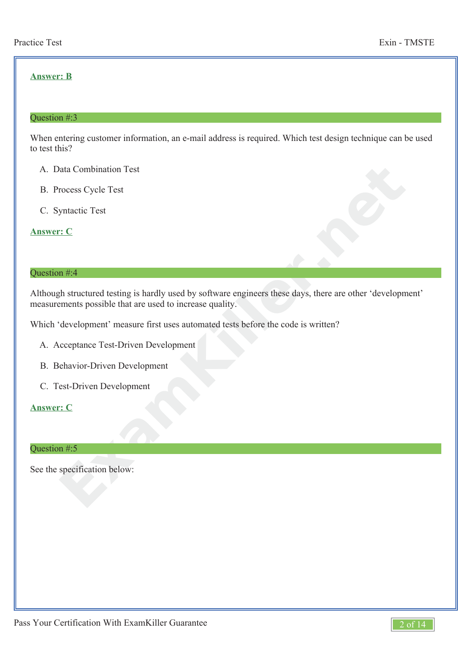# **Answer: B**

#### Question #:3

When entering customer information, an e-mail address is required. Which test design technique can be used to test this?

- A. Data Combination Test
- B. Process Cycle Test
- C. Syntactic Test

**Answer: C**

#### Question #:4

**Example 19**<br> **Example 19**<br> **Example 19**<br> **Example 19**<br> **Example 19**<br> **Example 19**<br> **Example 19**<br> **Example 19**<br> **Example 19**<br> **Example 19**<br> **Example 19**<br> **Example 19**<br> **Example 19**<br> **Example 19**<br> **Example 19**<br> **Example 19** Although structured testing is hardly used by software engineers these days, there are other 'development' measurements possible that are used to increase quality.

Which 'development' measure first uses automated tests before the code is written?

- A. Acceptance Test-Driven Development
- B. Behavior-Driven Development
- C. Test-Driven Development

#### **Answer: C**

#### Question #:5

See the specification below:

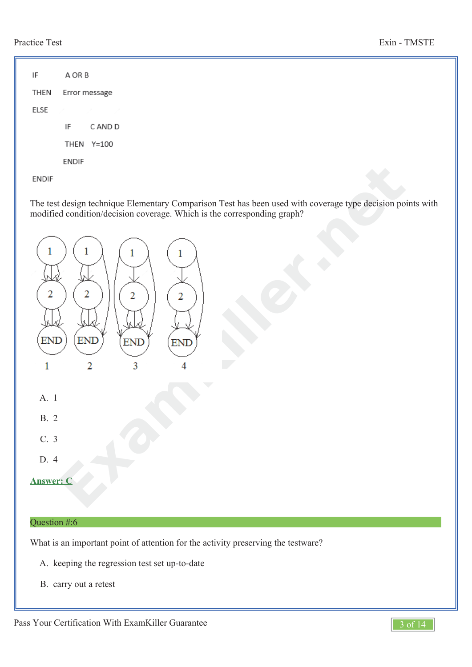IF A OR B **THEN** Error message **ELSE** IF C AND D THEN Y=100 **ENDIF** 

**ENDIF** 

The test design technique Elementary Comparison Test has been used with coverage type decision points with modified condition/decision coverage. Which is the corresponding graph?



B. carry out a retest